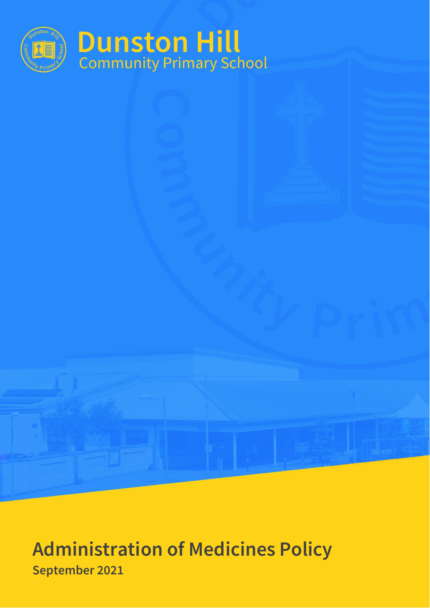

# **Administration of Medicines Policy September 2021**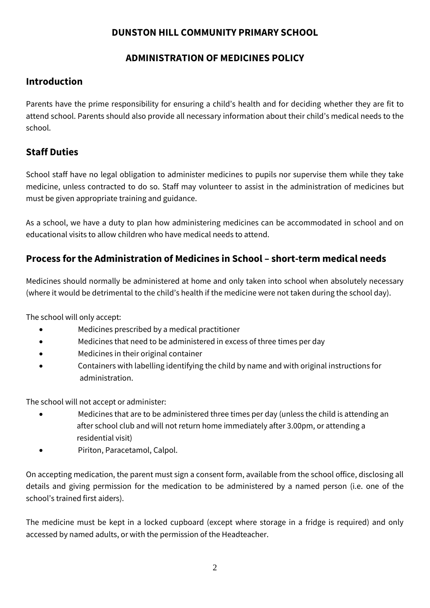### **DUNSTON HILL COMMUNITY PRIMARY SCHOOL**

## **ADMINISTRATION OF MEDICINES POLICY**

## **Introduction**

Parents have the prime responsibility for ensuring a child's health and for deciding whether they are fit to attend school. Parents should also provide all necessary information about their child's medical needs to the school.

# **Staff Duties**

School staff have no legal obligation to administer medicines to pupils nor supervise them while they take medicine, unless contracted to do so. Staff may volunteer to assist in the administration of medicines but must be given appropriate training and guidance.

As a school, we have a duty to plan how administering medicines can be accommodated in school and on educational visits to allow children who have medical needs to attend.

# **Process for the Administration of Medicines in School – short-term medical needs**

Medicines should normally be administered at home and only taken into school when absolutely necessary (where it would be detrimental to the child's health if the medicine were not taken during the school day).

The school will only accept:

- Medicines prescribed by a medical practitioner
- Medicines that need to be administered in excess of three times per day
- Medicines in their original container
- Containers with labelling identifying the child by name and with original instructions for administration.

The school will not accept or administer:

- Medicines that are to be administered three times per day (unless the child is attending an after school club and will not return home immediately after 3.00pm, or attending a residential visit)
- Piriton, Paracetamol, Calpol.

On accepting medication, the parent must sign a consent form, available from the school office, disclosing all details and giving permission for the medication to be administered by a named person (i.e. one of the school's trained first aiders).

The medicine must be kept in a locked cupboard (except where storage in a fridge is required) and only accessed by named adults, or with the permission of the Headteacher.